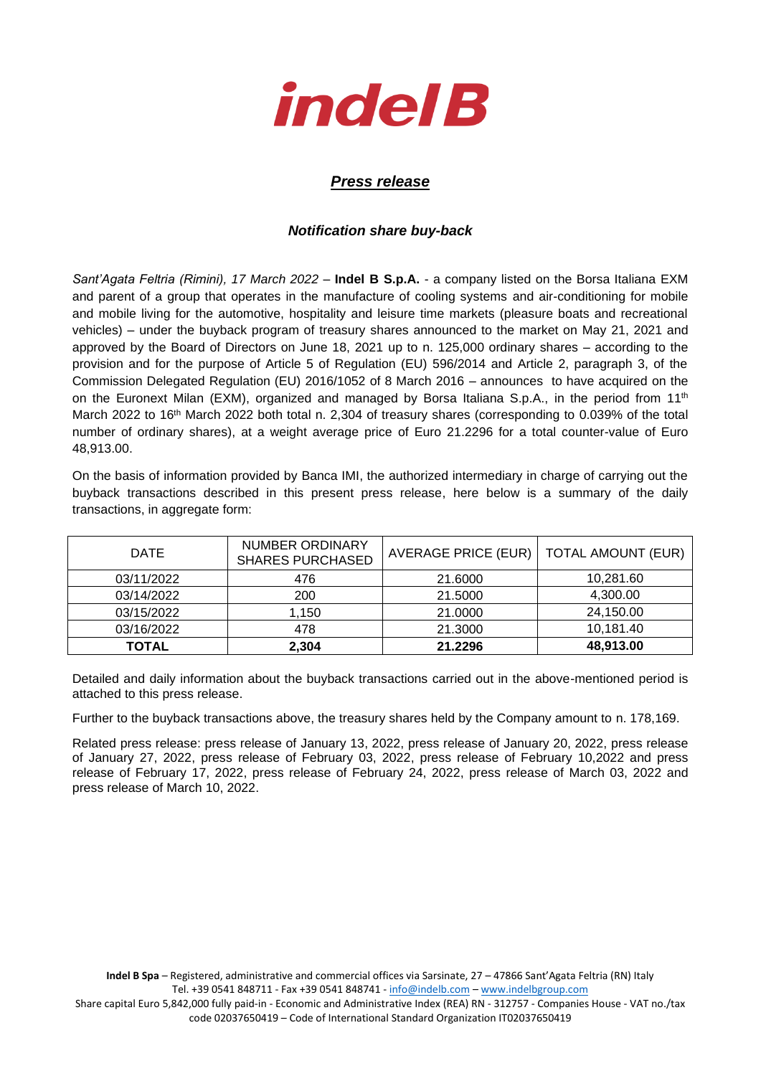

## *Press release*

## *Notification share buy-back*

*Sant'Agata Feltria (Rimini), 17 March 2022* – **Indel B S.p.A.** - a company listed on the Borsa Italiana EXM and parent of a group that operates in the manufacture of cooling systems and air-conditioning for mobile and mobile living for the automotive, hospitality and leisure time markets (pleasure boats and recreational vehicles) – under the buyback program of treasury shares announced to the market on May 21, 2021 and approved by the Board of Directors on June 18, 2021 up to n. 125,000 ordinary shares – according to the provision and for the purpose of Article 5 of Regulation (EU) 596/2014 and Article 2, paragraph 3, of the Commission Delegated Regulation (EU) 2016/1052 of 8 March 2016 – announces to have acquired on the on the Euronext Milan (EXM), organized and managed by Borsa Italiana S.p.A., in the period from 11<sup>th</sup> March 2022 to 16<sup>th</sup> March 2022 both total n. 2,304 of treasury shares (corresponding to 0.039% of the total number of ordinary shares), at a weight average price of Euro 21.2296 for a total counter-value of Euro 48,913.00.

On the basis of information provided by Banca IMI, the authorized intermediary in charge of carrying out the buyback transactions described in this present press release, here below is a summary of the daily transactions, in aggregate form:

| <b>DATE</b>  | NUMBER ORDINARY<br><b>SHARES PURCHASED</b> | AVERAGE PRICE (EUR) | <b>TOTAL AMOUNT (EUR)</b> |
|--------------|--------------------------------------------|---------------------|---------------------------|
| 03/11/2022   | 476                                        | 21,6000             | 10,281.60                 |
| 03/14/2022   | 200                                        | 21.5000             | 4,300.00                  |
| 03/15/2022   | 1,150                                      | 21,0000             | 24,150.00                 |
| 03/16/2022   | 478                                        | 21.3000             | 10,181.40                 |
| <b>TOTAL</b> | 2,304                                      | 21.2296             | 48,913.00                 |

Detailed and daily information about the buyback transactions carried out in the above-mentioned period is attached to this press release.

Further to the buyback transactions above, the treasury shares held by the Company amount to n. 178,169.

Related press release: press release of January 13, 2022, press release of January 20, 2022, press release of January 27, 2022, press release of February 03, 2022, press release of February 10,2022 and press release of February 17, 2022, press release of February 24, 2022, press release of March 03, 2022 and press release of March 10, 2022.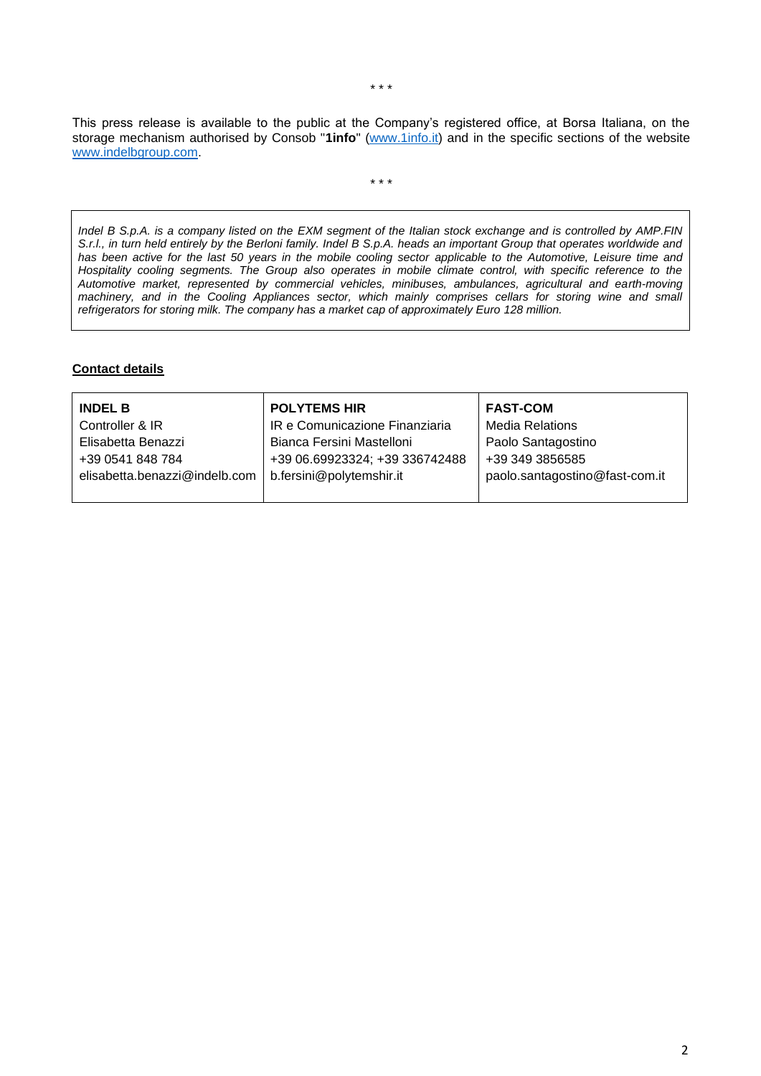This press release is available to the public at the Company's registered office, at Borsa Italiana, on the storage mechanism authorised by Consob "**1info**" [\(www.1info.it\)](file:///C:/Users/ddelietovollaro/AppData/Local/Microsoft/Windows/INetCache/Content.Outlook/T87B94UR/www.1info.it) and in the specific sections of the website [www.indelbgroup.com.](http://www.indelbgroup.com/)

\* \* \*

*Indel B S.p.A. is a company listed on the EXM segment of the Italian stock exchange and is controlled by AMP.FIN S.r.l., in turn held entirely by the Berloni family. Indel B S.p.A. heads an important Group that operates worldwide and has been active for the last 50 years in the mobile cooling sector applicable to the Automotive, Leisure time and Hospitality cooling segments. The Group also operates in mobile climate control, with specific reference to the Automotive market, represented by commercial vehicles, minibuses, ambulances, agricultural and earth-moving*  machinery, and in the Cooling Appliances sector, which mainly comprises cellars for storing wine and small *refrigerators for storing milk. The company has a market cap of approximately Euro 128 million.*

## **Contact details**

| <b>INDEL B</b>                | <b>POLYTEMS HIR</b>            | <b>FAST-COM</b>                |
|-------------------------------|--------------------------------|--------------------------------|
| Controller & IR               | IR e Comunicazione Finanziaria | Media Relations                |
| Elisabetta Benazzi            | Bianca Fersini Mastelloni      | Paolo Santagostino             |
| +39 0541 848 784              | +39 06.69923324; +39 336742488 | +39 349 3856585                |
| elisabetta.benazzi@indelb.com | b.fersini@polytemshir.it       | paolo.santagostino@fast-com.it |
|                               |                                |                                |